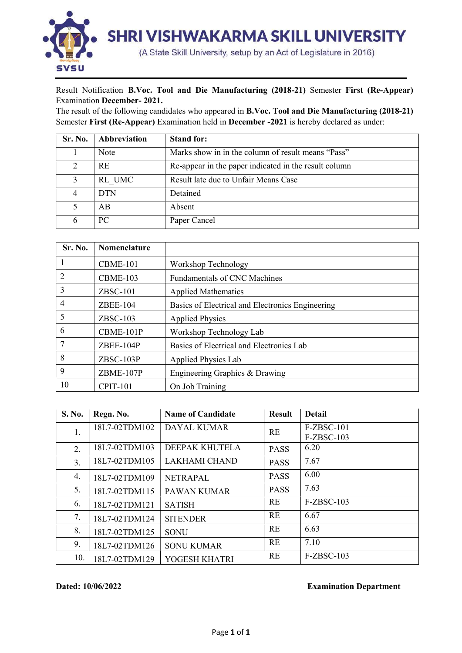

## Result Notification B.Voc. Tool and Die Manufacturing (2018-21) Semester First (Re-Appear) Examination December- 2021.

The result of the following candidates who appeared in B.Voc. Tool and Die Manufacturing (2018-21) Semester First (Re-Appear) Examination held in December -2021 is hereby declared as under:

| Sr. No.       | Abbreviation | <b>Stand for:</b>                                     |
|---------------|--------------|-------------------------------------------------------|
|               | Note         | Marks show in in the column of result means "Pass"    |
| $\mathcal{D}$ | <b>RE</b>    | Re-appear in the paper indicated in the result column |
|               | RL UMC       | Result late due to Unfair Means Case                  |
|               | <b>DTN</b>   | Detained                                              |
|               | AB           | Absent                                                |
|               | PC.          | Paper Cancel                                          |

| Sr. No.        | <b>Nomenclature</b> |                                                  |
|----------------|---------------------|--------------------------------------------------|
|                | CBME-101            | Workshop Technology                              |
| $\overline{2}$ | <b>CBME-103</b>     | <b>Fundamentals of CNC Machines</b>              |
| 3              | $ZBSC-101$          | <b>Applied Mathematics</b>                       |
| 4              | $ZBEE-104$          | Basics of Electrical and Electronics Engineering |
| 5              | $ZBSC-103$          | <b>Applied Physics</b>                           |
| 6              | CBME-101P           | Workshop Technology Lab                          |
| 7              | ZBEE-104P           | Basics of Electrical and Electronics Lab         |
| 8              | $ZBSC-103P$         | Applied Physics Lab                              |
| 9              | ZBME-107P           | Engineering Graphics & Drawing                   |
| 10             | <b>CPIT-101</b>     | On Job Training                                  |

| <b>S. No.</b> | Regn. No.     | <b>Name of Candidate</b> | <b>Result</b> | <b>Detail</b> |
|---------------|---------------|--------------------------|---------------|---------------|
| 1.            | 18L7-02TDM102 | <b>DAYAL KUMAR</b>       | <b>RE</b>     | F-ZBSC-101    |
|               |               |                          |               | F-ZBSC-103    |
| 2.            | 18L7-02TDM103 | DEEPAK KHUTELA           | <b>PASS</b>   | 6.20          |
| 3.            | 18L7-02TDM105 | LAKHAMI CHAND            | <b>PASS</b>   | 7.67          |
| 4.            | 18L7-02TDM109 | <b>NETRAPAL</b>          | <b>PASS</b>   | 6.00          |
| 5.            | 18L7-02TDM115 | <b>PAWAN KUMAR</b>       | <b>PASS</b>   | 7.63          |
| 6.            | 18L7-02TDM121 | <b>SATISH</b>            | <b>RE</b>     | $F-ZBSC-103$  |
| 7.            | 18L7-02TDM124 | <b>SITENDER</b>          | RE            | 6.67          |
| 8.            | 18L7-02TDM125 | <b>SONU</b>              | <b>RE</b>     | 6.63          |
| 9.            | 18L7-02TDM126 | <b>SONU KUMAR</b>        | <b>RE</b>     | 7.10          |
| 10.           | 18L7-02TDM129 | YOGESH KHATRI            | RE            | F-ZBSC-103    |

Dated: 10/06/2022 Examination Department